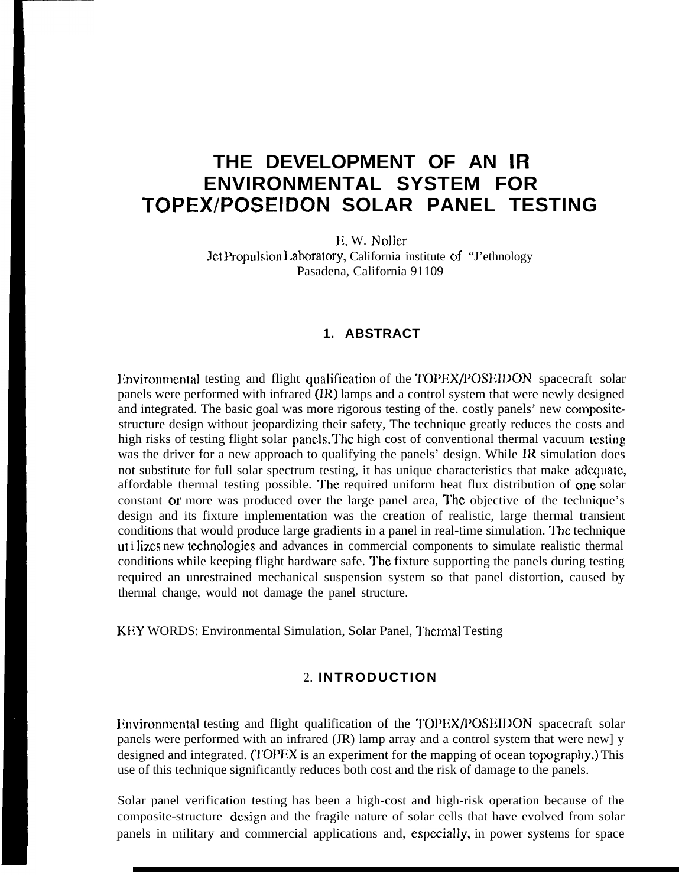# **THE DEVELOPMENT OF AN IR ENVIRONMENTAL SYSTEM FOR TOPEX/POSEIDON SOLAR PANEL TESTING**

11. W. Noller Jet Propulsion Laboratory, California institute of "J'ethnology Pasadena, California 91109

### **1. ABSTRACT**

Environmental testing and flight qualification of the TOPEX/POSEIDON spacecraft solar panels were performed with infrared (IR) lamps and a control system that were newly designed and integrated. The basic goal was more rigorous testing of the. costly panels' new compositestructure design without jeopardizing their safety, The technique greatly reduces the costs and high risks of testing flight solar panels. The high cost of conventional thermal vacuum testing was the driver for a new approach to qualifying the panels' design. While JR simulation does not substitute for full solar spectrum testing, it has unique characteristics that make adequate, affordable thermal testing possible. The required uniform heat flux distribution of one solar constant or more was produced over the large panel area, I'he objective of the technique's design and its fixture implementation was the creation of realistic, large thermal transient conditions that would produce large gradients in a panel in real-time simulation. The technique ut i lizes new technologies and advances in commercial components to simulate realistic thermal conditions while keeping flight hardware safe. The fixture supporting the panels during testing required an unrestrained mechanical suspension system so that panel distortion, caused by thermal change, would not damage the panel structure.

KEY WORDS: Environmental Simulation, Solar Panel, Thermal Testing

### 2. **INTRODUCTION**

Environmental testing and flight qualification of the TOPEX/POSEIDON spacecraft solar panels were performed with an infrared (JR) lamp array and a control system that were new] y designed and integrated. (TOPEX is an experiment for the mapping of ocean topography.) This use of this technique significantly reduces both cost and the risk of damage to the panels.

Solar panel verification testing has been a high-cost and high-risk operation because of the composite-structure design and the fragile nature of solar cells that have evolved from solar panels in military and commercial applications and, especially, in power systems for space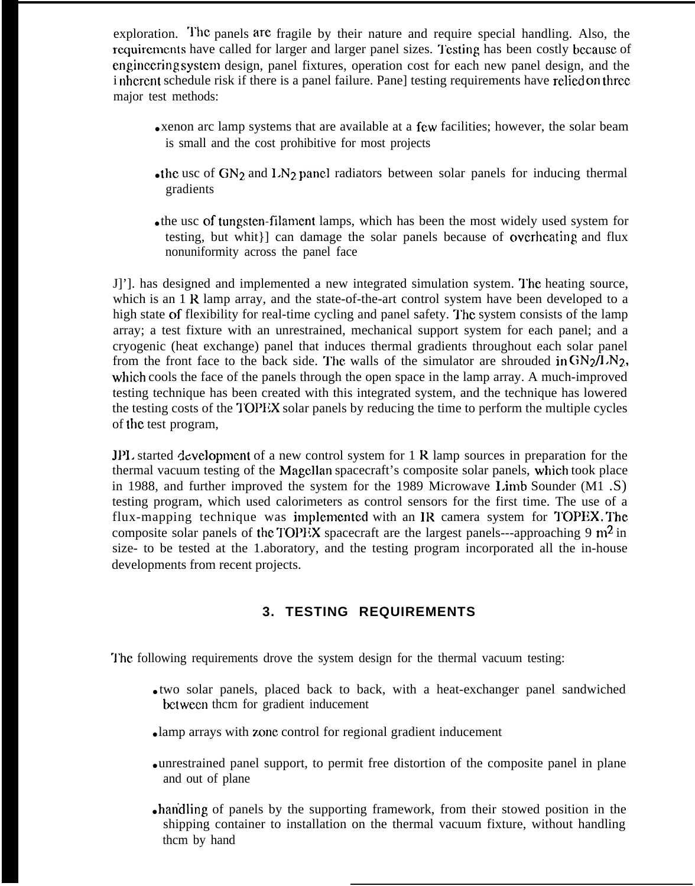exploration. The panels are fragile by their nature and require special handling. Also, the requirements have called for larger and larger panel sizes. Testing has been costly because of enginecring system design, panel fixtures, operation cost for each new panel design, and the i nhcrent schedule risk if there is a panel failure. Panel testing requirements have relied on three major test methods:

- xenon arc lamp systems that are available at a few facilities; however, the solar beam is small and the cost prohibitive for most projects
- the usc of  $GN_2$  and  $LN_2$  panel radiators between solar panels for inducing thermal gradients
- $\bullet$  the usc of tungsten-filament lamps, which has been the most widely used system for testing, but whit}] can damage the solar panels because of cwerhcating and flux nonuniformity across the panel face

J]']. has designed and implemented a new integrated simulation system. I'he heating source, which is an 1 R lamp array, and the state-of-the-art control system have been developed to a high state of flexibility for real-time cycling and panel safety. The system consists of the lamp array; a test fixture with an unrestrained, mechanical support system for each panel; and a cryogenic (heat exchange) panel that induces thermal gradients throughout each solar panel from the front face to the back side. The walls of the simulator are shrouded in  $GN_2/LN_2$ , which cools the face of the panels through the open space in the lamp array. A much-improved testing technique has been created with this integrated system, and the technique has lowered the testing costs of the TOPEX solar panels by reducing the time to perform the multiple cycles of the test program,

JPL started development of a new control system for  $1 \text{ R}$  lamp sources in preparation for the thermal vacuum testing of the Magellan spacecraft's composite solar panels, which took place in 1988, and further improved the system for the 1989 Microwave I.imb Sounder (M1 .S) testing program, which used calorimeters as control sensors for the first time. The use of a flux-mapping technique was implemented with an IR camera system for TOPEX. The composite solar panels of the TOPEX spacecraft are the largest panels---approaching 9  $m<sup>2</sup>$  in size- to be tested at the 1.aboratory, and the testing program incorporated all the in-house developments from recent projects.

# **3. TESTING REQUIREMENTS**

The following requirements drove the system design for the thermal vacuum testing:

- $\bullet$  two solar panels, placed back to back, with a heat-exchanger panel sandwiched bctwccn thcm for gradient inducement
- lamp arrays with zone control for regional gradient inducement
- unrestrained panel support, to permit free distortion of the composite panel in plane and out of plane
- handling of panels by the supporting framework, from their stowed position in the shipping container to installation on the thermal vacuum fixture, without handling thcm by hand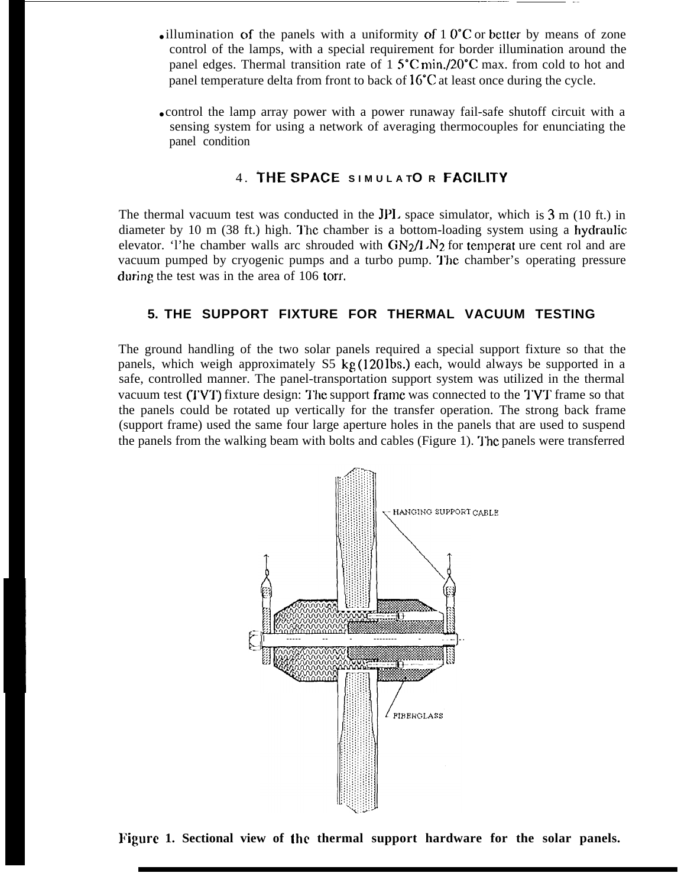• illumination of the panels with a uniformity of 1  $0^{\circ}$ C or better by means of zone control of the lamps, with a special requirement for border illumination around the panel edges. Thermal transition rate of  $1.5^{\circ}$ C min./20 $^{\circ}$ C max. from cold to hot and panel temperature delta from front to back of 16°C at least once during the cycle.

.

• control the lamp array power with a power runaway fail-safe shutoff circuit with a sensing system for using a network of averaging thermocouples for enunciating the panel condition

### 4. **THE SPACE SIMULA TO R** FACILITY

The thermal vacuum test was conducted in the JPI. space simulator, which is 3 m (10 ft.) in diameter by 10 m  $(38 \text{ ft.})$  high. The chamber is a bottom-loading system using a hydraulic elevator. 'I'he chamber walls arc shrouded with  $GN_2/I$   $N_2$  for temperat ure cent rol and are vacuum pumped by cryogenic pumps and a turbo pump. "J'hc chamber's operating pressure during the test was in the area of 106 torr.

### **5. THE SUPPORT FIXTURE FOR THERMAL VACUUM TESTING**

The ground handling of the two solar panels required a special support fixture so that the panels, which weigh approximately S5 kg (120 lbs.) each, would always be supported in a safe, controlled manner. The panel-transportation support system was utilized in the thermal vacuum test  $(TVT)$  fixture design: The support frame was connected to the TVT frame so that the panels could be rotated up vertically for the transfer operation. The strong back frame (support frame) used the same four large aperture holes in the panels that are used to suspend the panels from the walking beam with bolts and cables (Figure 1). The panels were transferred



**k'igurc 1. Sectional view of the thermal support hardware for the solar panels.**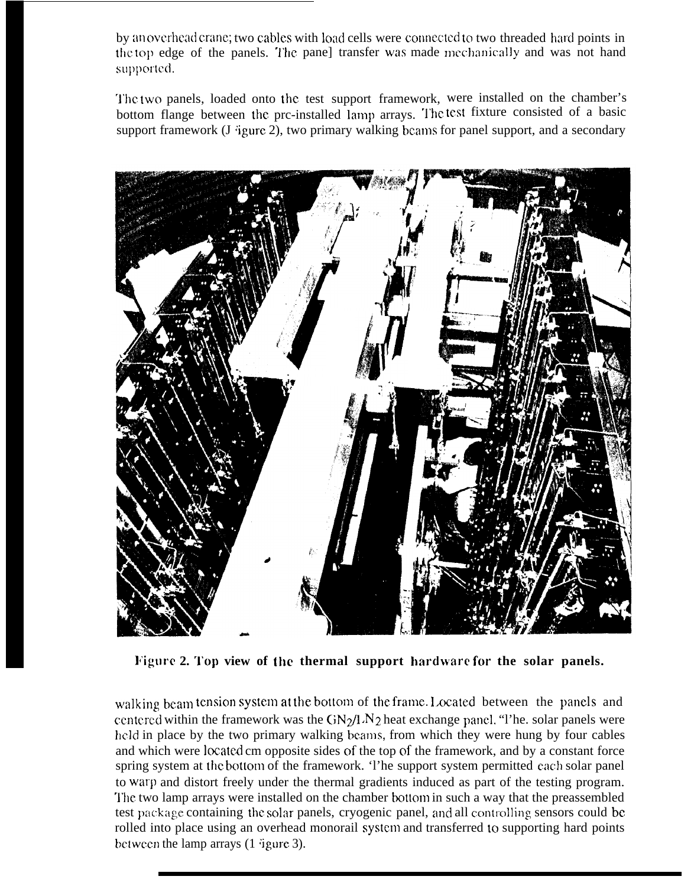by an overhead crane; two cables with load cells were connected to two threaded hard points in the top edge of the panels. The pane] transfer was made mechanically and was not hand supported.

The two panels, loaded onto the test support framework, were installed on the chamber's bottom flange between the prc-installed lamp arrays. The test fixture consisted of a basic support framework (J 'igure 2), two primary walking beams for panel support, and a secondary



**l~igurc 2. '1'oj) view of the thermal support harclware i'or the solar panels.**

walking beam tension system at the bottom of the frame. Located between the panels and centered within the framework was the  $\frac{GN_2}{l}$   $N_2$  heat exchange panel. "I'he. solar panels were held in place by the two primary walking beams, from which they were hung by four cables and which were located cm opposite sides of the top of the framework, and by a constant force spring system at the bottom of the framework. 'I'he support system permitted each solar panel to warp and distort freely under the thermal gradients induced as part of the testing program. '1'he two lamp arrays were installed on the chamber bottom in such a way that the preassembled test package containing the solar panels, cryogenic panel, and all controlling sensors could be rolled into place using an overhead monorail system and transferred to supporting hard points between the lamp arrays (1 'igure 3).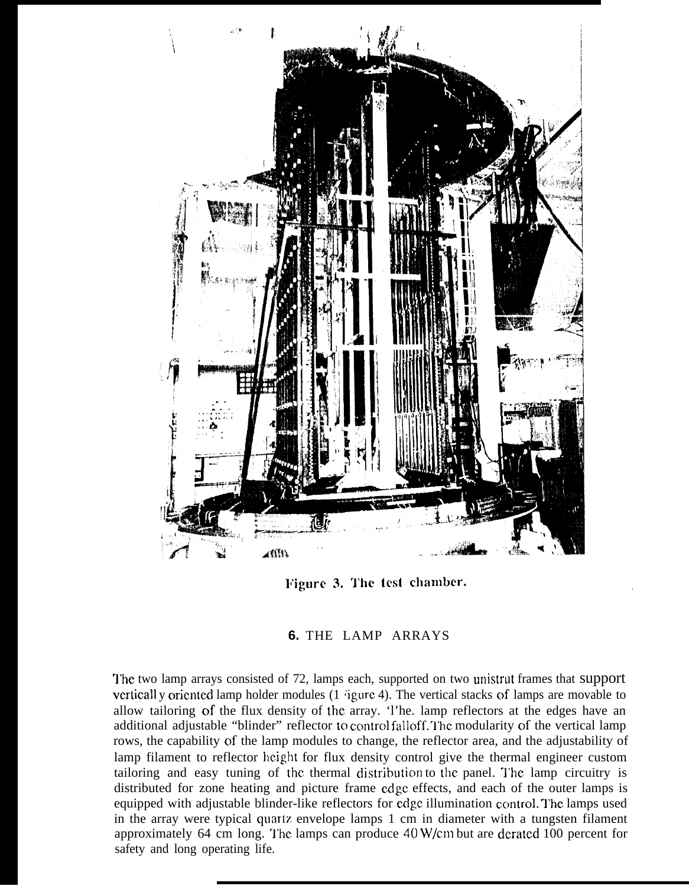

Figure 3. The test chamber.

# **6.** THE LAMP ARRAYS

The two lamp arrays consisted of 72, lamps each, supported on two unistrut frames that support verticall y oriented lamp holder modules (1  $\frac{1}{2}$  igure 4). The vertical stacks of lamps are movable to allow tailoring of the flux density of the array. 'l'he. lamp reflectors at the edges have an additional adjustable "blinder" reflector to control falloff. The modularity of the vertical lamp rows, the capability of the lamp modules to change, the reflector area, and the adjustability of lamp filament to reflector height for flux density control give the thermal engineer custom tailoring and easy tuning of the thermal distribution to the panel. The lamp circuitry is distributed for zone heating and picture frame edge effects, and each of the outer lamps is equipped with adjustable blinder-like reflectors for edge illumination control. The lamps used in the array were typical quartz envelope lamps 1 cm in diameter with a tungsten filament approximately 64 cm long. The lamps can produce  $40$  W/cm but are derated 100 percent for safety and long operating life.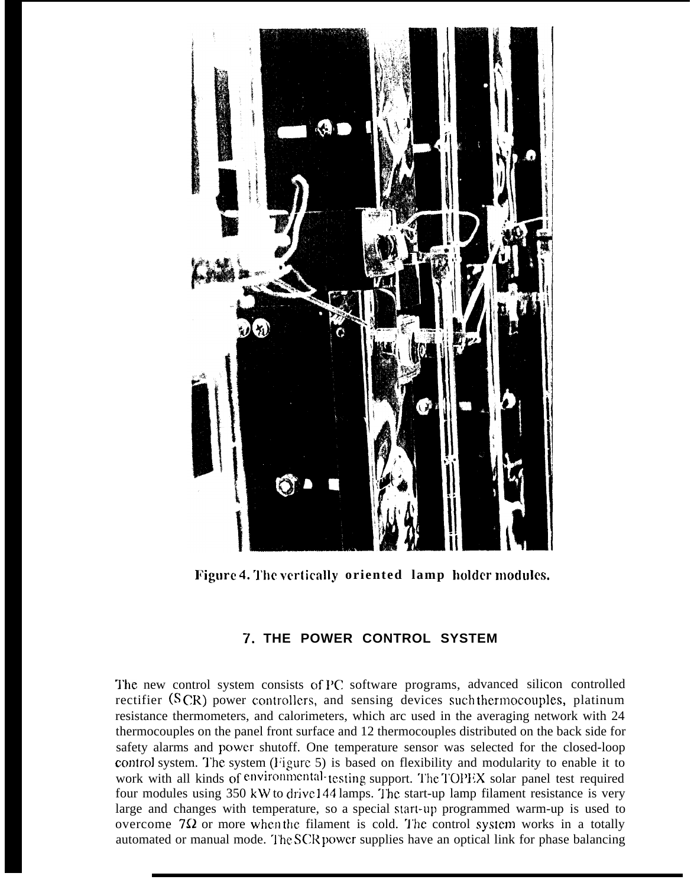

**Figure 4. 'J'he vertically oriented lamp holder modules.**

# **7. THE POWER CONTROL SYSTEM**

The new control system consists of PC software programs, advanced silicon controlled rectifier  $(SCR)$  power controllers, and sensing devices such thermocouples, platinum resistance thermometers, and calorimeters, which arc used in the averaging network with 24 thermocouples on the panel front surface and 12 thermocouples distributed on the back side for safety alarms and power shutoff. One temperature sensor was selected for the closed-loop control system. The system (Figure 5) is based on flexibility and modularity to enable it to work with all kinds of environmental-testing support. The TOPEX solar panel test required four modules using 350 kW to drive 144 lamps. "l'he start-up lamp filament resistance is very large and changes with temperature, so a special start-up programmed warm-up is used to overcome  $7\Omega$  or more when the filament is cold. The control system works in a totally automated or manual mode. The SCR power supplies have an optical link for phase balancing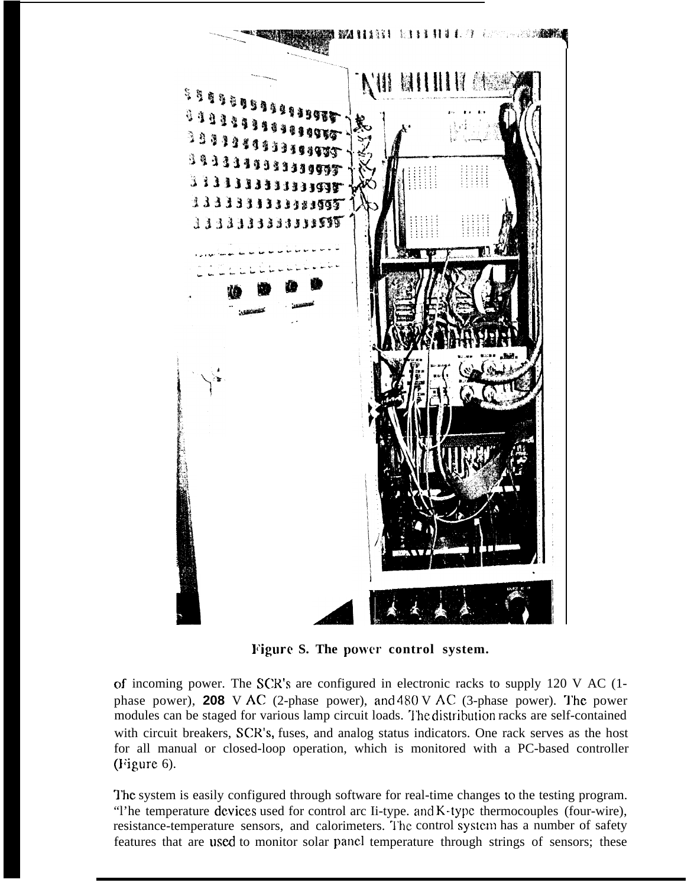

**Figure S. The power control system.**

of incoming power. The SCR'S are configured in electronic racks to supply 120 V AC (1 phase power), **208** V AC (2-phase power), and  $480$  V AC (3-phase power). The power modules can be staged for various lamp circuit loads. The distribution racks are self-contained with circuit breakers, SCR'S, fuses, and analog status indicators. One rack serves as the host for all manual or closed-loop operation, which is monitored with a PC-based controller (J'igure 6).

The system is easily configured through software for real-time changes to the testing program. "The temperature devices used for control arc Ii-type. and K-type thermocouples (four-wire), resistance-temperature sensors, and calorimeters. The control system has a number of safety features that are used to monitor solar panel temperature through strings of sensors; these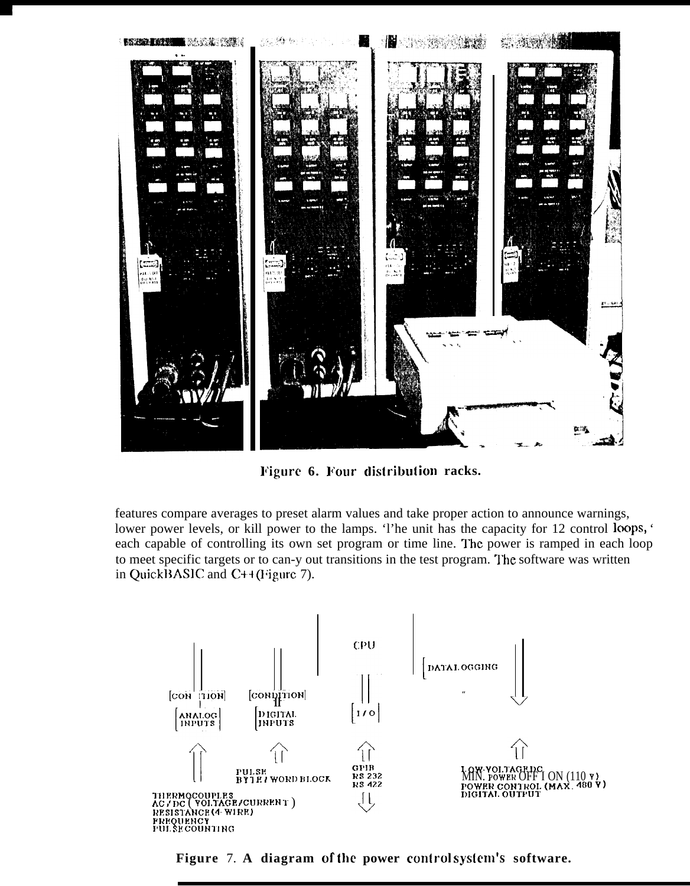

Figure 6. Four distribution racks.

features compare averages to preset alarm values and take proper action to announce warnings, lower power levels, or kill power to the lamps. The unit has the capacity for 12 control loops, ' each capable of controlling its own set program or time line. The power is ramped in each loop to meet specific targets or to can-y out transitions in the test program. The software was written in QuickBASIC and  $C+$ + $(Fi)$ gure 7).



Figure 7. A diagram of the power control system's software.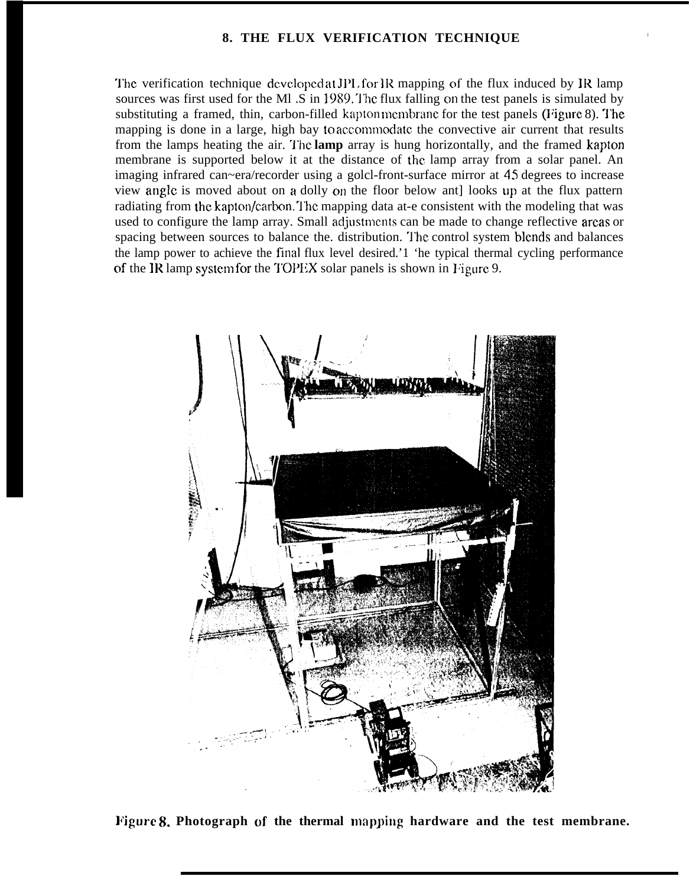#### **8. THE FLUX VERIFICATION TECHNIQUE <sup>I</sup>**

The verification technique developed at JPL for  $\rm IR$  mapping of the flux induced by IR lamp sources was first used for the Ml .S in 1989. The flux falling on the test panels is simulated by substituting a framed, thin, carbon-filled kapton membrane for the test panels (Figure 8). The mapping is done in a large, high bay to accommodate the convective air current that results from the lamps heating the air. "1'hc **lamp** array is hung horizontally, and the framed kapton membrane is supported below it at the distance of the lamp array from a solar panel. An imaging infrared can~era/recorder using a golcl-front-surface mirror at 45 degrees to increase view angle is moved about on a dolly on the floor below ant looks up at the flux pattern radiating from the kapton/carbon. The mapping data at-e consistent with the modeling that was used to configure the lamp array. Small adjustments can be made to change reflective areas or spacing between sources to balance the. distribution. The control system blends and balances the lamp power to achieve the final flux level desired.'1 'he typical thermal cycling performance of the IR lamp system for the TOPEX solar panels is shown in Figure 9.



Figure 8. Photograph of the thermal mapping hardware and the test membrane.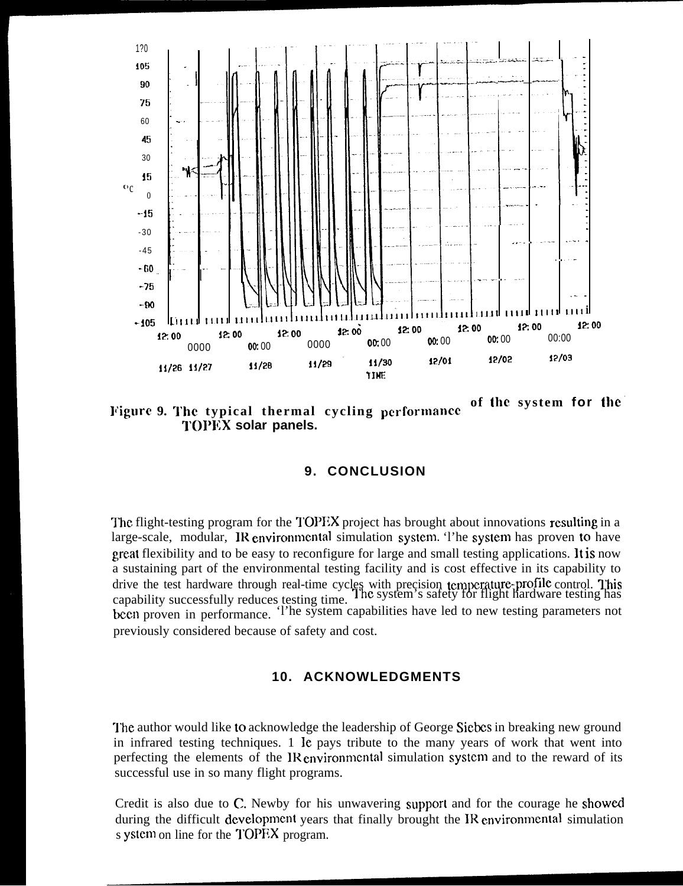

of the system for the Figure 9. The typical thermal cycling performance **TOPEX solar panels.** 

### 9. CONCLUSION

The flight-testing program for the TOPEX project has brought about innovations resulting in a large-scale, modular, IR environmental simulation system. The system has proven to have great flexibility and to be easy to reconfigure for large and small testing applications. It is now a sustaining part of the environmental testing facility and is cost effective in its capability to drive the test hardware through real-time cycles with precision temperature-profile control. This canability successfully reduces testing time. The system's safety for flight hardware testing has capability successfully reduces testing time. been proven in performance. The system capabilities have led to new testing parameters not previously considered because of safety and cost.

### **10. ACKNOWLEDGMENTS**

The author would like to acknowledge the leadership of George Siebes in breaking new ground in infrared testing techniques. 1 le pays tribute to the many years of work that went into perfecting the elements of the IR environmental simulation system and to the reward of its successful use in so many flight programs.

Credit is also due to C. Newby for his unwavering support and for the courage he showed during the difficult development years that finally brought the IR environmental simulation s ystem on line for the TOPEX program.